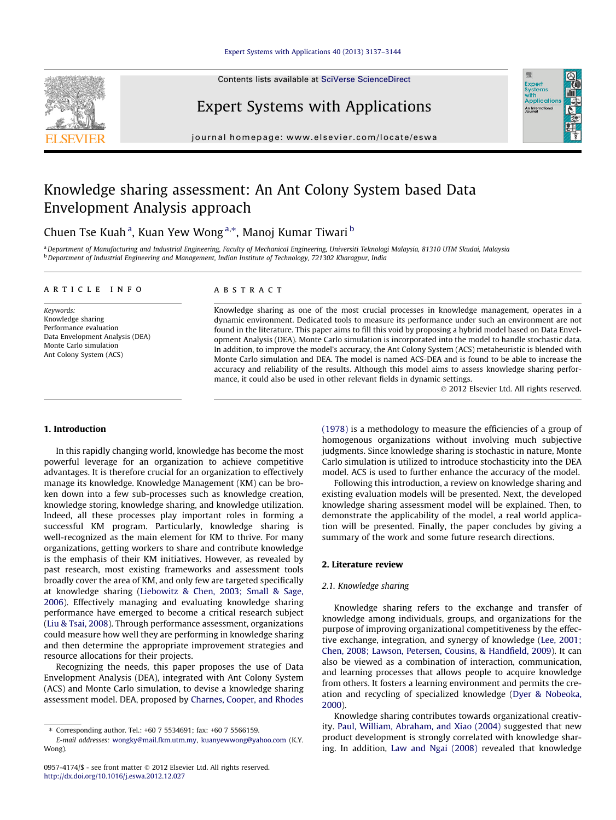#### [Expert Systems with Applications 40 \(2013\) 3137–3144](http://dx.doi.org/10.1016/j.eswa.2012.12.027)

Contents lists available at [SciVerse ScienceDirect](http://www.sciencedirect.com/science/journal/09574174)



### Expert Systems with Applications

journal homepage: [www.elsevier.com/locate/eswa](http://www.elsevier.com/locate/eswa)

## Knowledge sharing assessment: An Ant Colony System based Data Envelopment Analysis approach

Chuen Tse Kuah <sup>a</sup>, Kuan Yew Wong <sup>a,</sup>\*, Manoj Kumar Tiwari <sup>b</sup>

a Department of Manufacturing and Industrial Engineering, Faculty of Mechanical Engineering, Universiti Teknologi Malaysia, 81310 UTM Skudai, Malaysia <sup>b</sup> Department of Industrial Engineering and Management, Indian Institute of Technology, 721302 Kharagpur, India

#### article info

Keywords: Knowledge sharing Performance evaluation Data Envelopment Analysis (DEA) Monte Carlo simulation Ant Colony System (ACS)

#### **ABSTRACT**

Knowledge sharing as one of the most crucial processes in knowledge management, operates in a dynamic environment. Dedicated tools to measure its performance under such an environment are not found in the literature. This paper aims to fill this void by proposing a hybrid model based on Data Envelopment Analysis (DEA). Monte Carlo simulation is incorporated into the model to handle stochastic data. In addition, to improve the model's accuracy, the Ant Colony System (ACS) metaheuristic is blended with Monte Carlo simulation and DEA. The model is named ACS-DEA and is found to be able to increase the accuracy and reliability of the results. Although this model aims to assess knowledge sharing performance, it could also be used in other relevant fields in dynamic settings.

- 2012 Elsevier Ltd. All rights reserved.

Expert<br>Syster Applicatio An Interna

#### 1. Introduction

In this rapidly changing world, knowledge has become the most powerful leverage for an organization to achieve competitive advantages. It is therefore crucial for an organization to effectively manage its knowledge. Knowledge Management (KM) can be broken down into a few sub-processes such as knowledge creation, knowledge storing, knowledge sharing, and knowledge utilization. Indeed, all these processes play important roles in forming a successful KM program. Particularly, knowledge sharing is well-recognized as the main element for KM to thrive. For many organizations, getting workers to share and contribute knowledge is the emphasis of their KM initiatives. However, as revealed by past research, most existing frameworks and assessment tools broadly cover the area of KM, and only few are targeted specifically at knowledge sharing ([Liebowitz & Chen, 2003; Small & Sage,](#page--1-0) [2006](#page--1-0)). Effectively managing and evaluating knowledge sharing performance have emerged to become a critical research subject ([Liu & Tsai, 2008\)](#page--1-0). Through performance assessment, organizations could measure how well they are performing in knowledge sharing and then determine the appropriate improvement strategies and resource allocations for their projects.

Recognizing the needs, this paper proposes the use of Data Envelopment Analysis (DEA), integrated with Ant Colony System (ACS) and Monte Carlo simulation, to devise a knowledge sharing assessment model. DEA, proposed by [Charnes, Cooper, and Rhodes](#page--1-0) [\(1978\)](#page--1-0) is a methodology to measure the efficiencies of a group of homogenous organizations without involving much subjective judgments. Since knowledge sharing is stochastic in nature, Monte Carlo simulation is utilized to introduce stochasticity into the DEA model. ACS is used to further enhance the accuracy of the model.

Following this introduction, a review on knowledge sharing and existing evaluation models will be presented. Next, the developed knowledge sharing assessment model will be explained. Then, to demonstrate the applicability of the model, a real world application will be presented. Finally, the paper concludes by giving a summary of the work and some future research directions.

#### 2. Literature review

#### 2.1. Knowledge sharing

Knowledge sharing refers to the exchange and transfer of knowledge among individuals, groups, and organizations for the purpose of improving organizational competitiveness by the effective exchange, integration, and synergy of knowledge [\(Lee, 2001;](#page--1-0) [Chen, 2008; Lawson, Petersen, Cousins, & Handfield, 2009](#page--1-0)). It can also be viewed as a combination of interaction, communication, and learning processes that allows people to acquire knowledge from others. It fosters a learning environment and permits the creation and recycling of specialized knowledge [\(Dyer & Nobeoka,](#page--1-0) [2000](#page--1-0)).

Knowledge sharing contributes towards organizational creativity. [Paul, William, Abraham, and Xiao \(2004\)](#page--1-0) suggested that new product development is strongly correlated with knowledge sharing. In addition, [Law and Ngai \(2008\)](#page--1-0) revealed that knowledge

<sup>⇑</sup> Corresponding author. Tel.: +60 7 5534691; fax: +60 7 5566159.

E-mail addresses: [wongky@mail.fkm.utm.my](mailto:wongky@mail.fkm.utm.my), [kuanyewwong@yahoo.com](mailto:kuanyewwong@yahoo.com) (K.Y. Wong).

<sup>0957-4174/\$ -</sup> see front matter © 2012 Elsevier Ltd. All rights reserved. <http://dx.doi.org/10.1016/j.eswa.2012.12.027>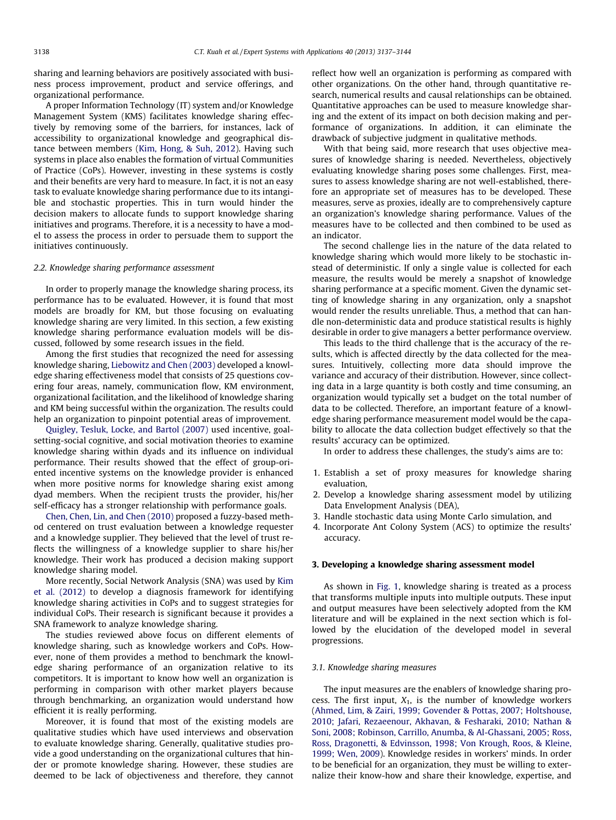sharing and learning behaviors are positively associated with business process improvement, product and service offerings, and organizational performance.

A proper Information Technology (IT) system and/or Knowledge Management System (KMS) facilitates knowledge sharing effectively by removing some of the barriers, for instances, lack of accessibility to organizational knowledge and geographical distance between members [\(Kim, Hong, & Suh, 2012\)](#page--1-0). Having such systems in place also enables the formation of virtual Communities of Practice (CoPs). However, investing in these systems is costly and their benefits are very hard to measure. In fact, it is not an easy task to evaluate knowledge sharing performance due to its intangible and stochastic properties. This in turn would hinder the decision makers to allocate funds to support knowledge sharing initiatives and programs. Therefore, it is a necessity to have a model to assess the process in order to persuade them to support the initiatives continuously.

#### 2.2. Knowledge sharing performance assessment

In order to properly manage the knowledge sharing process, its performance has to be evaluated. However, it is found that most models are broadly for KM, but those focusing on evaluating knowledge sharing are very limited. In this section, a few existing knowledge sharing performance evaluation models will be discussed, followed by some research issues in the field.

Among the first studies that recognized the need for assessing knowledge sharing, [Liebowitz and Chen \(2003\)](#page--1-0) developed a knowledge sharing effectiveness model that consists of 25 questions covering four areas, namely, communication flow, KM environment, organizational facilitation, and the likelihood of knowledge sharing and KM being successful within the organization. The results could help an organization to pinpoint potential areas of improvement.

[Quigley, Tesluk, Locke, and Bartol \(2007\)](#page--1-0) used incentive, goalsetting-social cognitive, and social motivation theories to examine knowledge sharing within dyads and its influence on individual performance. Their results showed that the effect of group-oriented incentive systems on the knowledge provider is enhanced when more positive norms for knowledge sharing exist among dyad members. When the recipient trusts the provider, his/her self-efficacy has a stronger relationship with performance goals.

[Chen, Chen, Lin, and Chen \(2010\)](#page--1-0) proposed a fuzzy-based method centered on trust evaluation between a knowledge requester and a knowledge supplier. They believed that the level of trust reflects the willingness of a knowledge supplier to share his/her knowledge. Their work has produced a decision making support knowledge sharing model.

More recently, Social Network Analysis (SNA) was used by [Kim](#page--1-0) [et al. \(2012\)](#page--1-0) to develop a diagnosis framework for identifying knowledge sharing activities in CoPs and to suggest strategies for individual CoPs. Their research is significant because it provides a SNA framework to analyze knowledge sharing.

The studies reviewed above focus on different elements of knowledge sharing, such as knowledge workers and CoPs. However, none of them provides a method to benchmark the knowledge sharing performance of an organization relative to its competitors. It is important to know how well an organization is performing in comparison with other market players because through benchmarking, an organization would understand how efficient it is really performing.

Moreover, it is found that most of the existing models are qualitative studies which have used interviews and observation to evaluate knowledge sharing. Generally, qualitative studies provide a good understanding on the organizational cultures that hinder or promote knowledge sharing. However, these studies are deemed to be lack of objectiveness and therefore, they cannot reflect how well an organization is performing as compared with other organizations. On the other hand, through quantitative research, numerical results and causal relationships can be obtained. Quantitative approaches can be used to measure knowledge sharing and the extent of its impact on both decision making and performance of organizations. In addition, it can eliminate the drawback of subjective judgment in qualitative methods.

With that being said, more research that uses objective measures of knowledge sharing is needed. Nevertheless, objectively evaluating knowledge sharing poses some challenges. First, measures to assess knowledge sharing are not well-established, therefore an appropriate set of measures has to be developed. These measures, serve as proxies, ideally are to comprehensively capture an organization's knowledge sharing performance. Values of the measures have to be collected and then combined to be used as an indicator.

The second challenge lies in the nature of the data related to knowledge sharing which would more likely to be stochastic instead of deterministic. If only a single value is collected for each measure, the results would be merely a snapshot of knowledge sharing performance at a specific moment. Given the dynamic setting of knowledge sharing in any organization, only a snapshot would render the results unreliable. Thus, a method that can handle non-deterministic data and produce statistical results is highly desirable in order to give managers a better performance overview.

This leads to the third challenge that is the accuracy of the results, which is affected directly by the data collected for the measures. Intuitively, collecting more data should improve the variance and accuracy of their distribution. However, since collecting data in a large quantity is both costly and time consuming, an organization would typically set a budget on the total number of data to be collected. Therefore, an important feature of a knowledge sharing performance measurement model would be the capability to allocate the data collection budget effectively so that the results' accuracy can be optimized.

In order to address these challenges, the study's aims are to:

- 1. Establish a set of proxy measures for knowledge sharing evaluation,
- 2. Develop a knowledge sharing assessment model by utilizing Data Envelopment Analysis (DEA),
- 3. Handle stochastic data using Monte Carlo simulation, and
- 4. Incorporate Ant Colony System (ACS) to optimize the results' accuracy.

#### 3. Developing a knowledge sharing assessment model

As shown in [Fig. 1,](#page--1-0) knowledge sharing is treated as a process that transforms multiple inputs into multiple outputs. These input and output measures have been selectively adopted from the KM literature and will be explained in the next section which is followed by the elucidation of the developed model in several progressions.

#### 3.1. Knowledge sharing measures

The input measures are the enablers of knowledge sharing process. The first input,  $X_1$ , is the number of knowledge workers ([Ahmed, Lim, & Zairi, 1999; Govender & Pottas, 2007; Holtshouse,](#page--1-0) [2010; Jafari, Rezaeenour, Akhavan, & Fesharaki, 2010; Nathan &](#page--1-0) [Soni, 2008; Robinson, Carrillo, Anumba, & Al-Ghassani, 2005; Ross,](#page--1-0) [Ross, Dragonetti, & Edvinsson, 1998; Von Krough, Roos, & Kleine,](#page--1-0) [1999; Wen, 2009](#page--1-0)). Knowledge resides in workers' minds. In order to be beneficial for an organization, they must be willing to externalize their know-how and share their knowledge, expertise, and